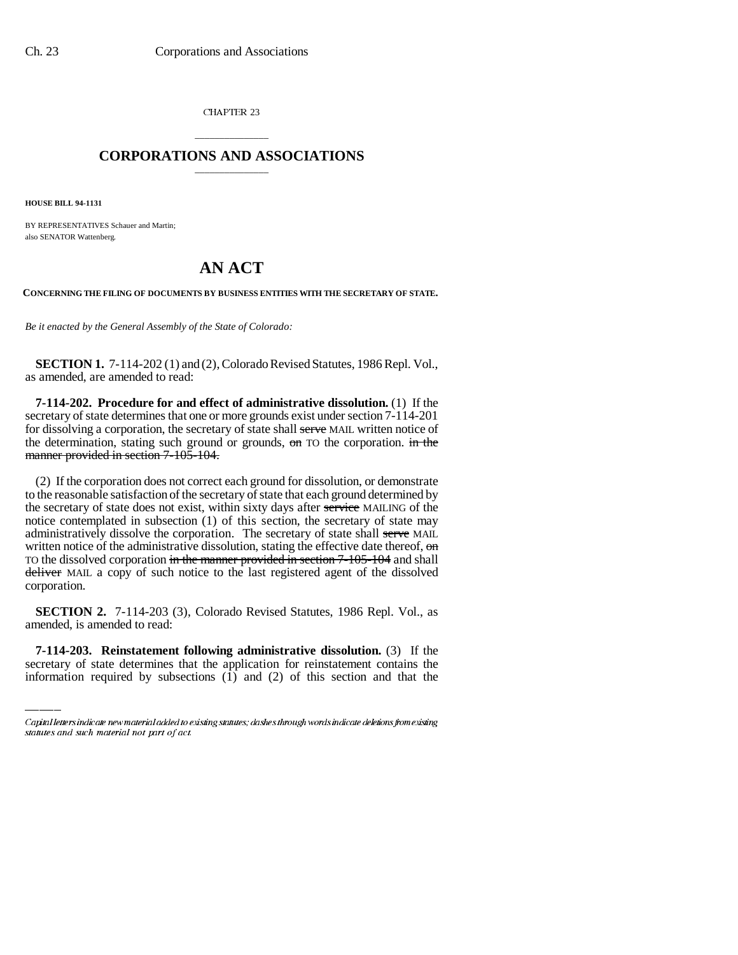CHAPTER 23

### \_\_\_\_\_\_\_\_\_\_\_\_\_\_\_ **CORPORATIONS AND ASSOCIATIONS** \_\_\_\_\_\_\_\_\_\_\_\_\_\_\_

**HOUSE BILL 94-1131**

BY REPRESENTATIVES Schauer and Martin; also SENATOR Wattenberg.

# **AN ACT**

**CONCERNING THE FILING OF DOCUMENTS BY BUSINESS ENTITIES WITH THE SECRETARY OF STATE.**

*Be it enacted by the General Assembly of the State of Colorado:*

**SECTION 1.** 7-114-202 (1) and (2), Colorado Revised Statutes, 1986 Repl. Vol., as amended, are amended to read:

**7-114-202. Procedure for and effect of administrative dissolution.** (1) If the secretary of state determines that one or more grounds exist under section 7-114-201 for dissolving a corporation, the secretary of state shall serve MAIL written notice of the determination, stating such ground or grounds,  $\sigma$  TO the corporation. in the manner provided in section 7-105-104.

(2) If the corporation does not correct each ground for dissolution, or demonstrate to the reasonable satisfaction of the secretary of state that each ground determined by the secretary of state does not exist, within sixty days after service MAILING of the notice contemplated in subsection (1) of this section, the secretary of state may administratively dissolve the corporation. The secretary of state shall serve MAIL written notice of the administrative dissolution, stating the effective date thereof,  $\theta$ TO the dissolved corporation in the manner provided in section 7-105-104 and shall deliver MAIL a copy of such notice to the last registered agent of the dissolved corporation.

amended, is amended to read: **SECTION 2.** 7-114-203 (3), Colorado Revised Statutes, 1986 Repl. Vol., as

**7-114-203. Reinstatement following administrative dissolution.** (3) If the secretary of state determines that the application for reinstatement contains the information required by subsections  $(1)$  and  $(2)$  of this section and that the

Capital letters indicate new material added to existing statutes; dashes through words indicate deletions from existing statutes and such material not part of act.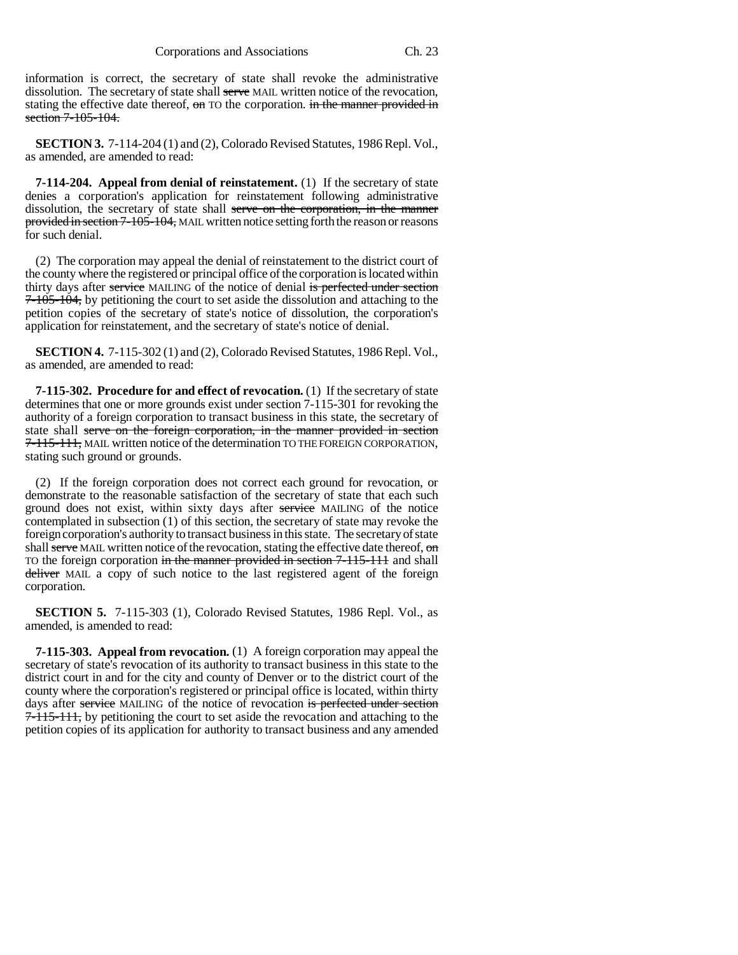information is correct, the secretary of state shall revoke the administrative dissolution. The secretary of state shall serve MAIL written notice of the revocation, stating the effective date thereof, on TO the corporation. in the manner provided in section 7-105-104.

**SECTION 3.** 7-114-204 (1) and (2), Colorado Revised Statutes, 1986 Repl. Vol., as amended, are amended to read:

**7-114-204. Appeal from denial of reinstatement.** (1) If the secretary of state denies a corporation's application for reinstatement following administrative dissolution, the secretary of state shall serve on the corporation, in the manner provided in section 7-105-104, MAIL written notice setting forth the reason or reasons for such denial.

(2) The corporation may appeal the denial of reinstatement to the district court of the county where the registered or principal office of the corporation is located within thirty days after service MAILING of the notice of denial is perfected under section 7-105-104, by petitioning the court to set aside the dissolution and attaching to the petition copies of the secretary of state's notice of dissolution, the corporation's application for reinstatement, and the secretary of state's notice of denial.

**SECTION 4.** 7-115-302 (1) and (2), Colorado Revised Statutes, 1986 Repl. Vol., as amended, are amended to read:

**7-115-302. Procedure for and effect of revocation.** (1) If the secretary of state determines that one or more grounds exist under section 7-115-301 for revoking the authority of a foreign corporation to transact business in this state, the secretary of state shall serve on the foreign corporation, in the manner provided in section 7-115-111, MAIL written notice of the determination TO THE FOREIGN CORPORATION, stating such ground or grounds.

(2) If the foreign corporation does not correct each ground for revocation, or demonstrate to the reasonable satisfaction of the secretary of state that each such ground does not exist, within sixty days after service MAILING of the notice contemplated in subsection (1) of this section, the secretary of state may revoke the foreign corporation's authority to transact business in this state. The secretary of state shall serve MAIL written notice of the revocation, stating the effective date thereof,  $\Theta$ TO the foreign corporation in the manner provided in section 7-115-111 and shall deliver MAIL a copy of such notice to the last registered agent of the foreign corporation.

**SECTION 5.** 7-115-303 (1), Colorado Revised Statutes, 1986 Repl. Vol., as amended, is amended to read:

**7-115-303. Appeal from revocation.** (1) A foreign corporation may appeal the secretary of state's revocation of its authority to transact business in this state to the district court in and for the city and county of Denver or to the district court of the county where the corporation's registered or principal office is located, within thirty days after service MAILING of the notice of revocation is perfected under section 7-115-111, by petitioning the court to set aside the revocation and attaching to the petition copies of its application for authority to transact business and any amended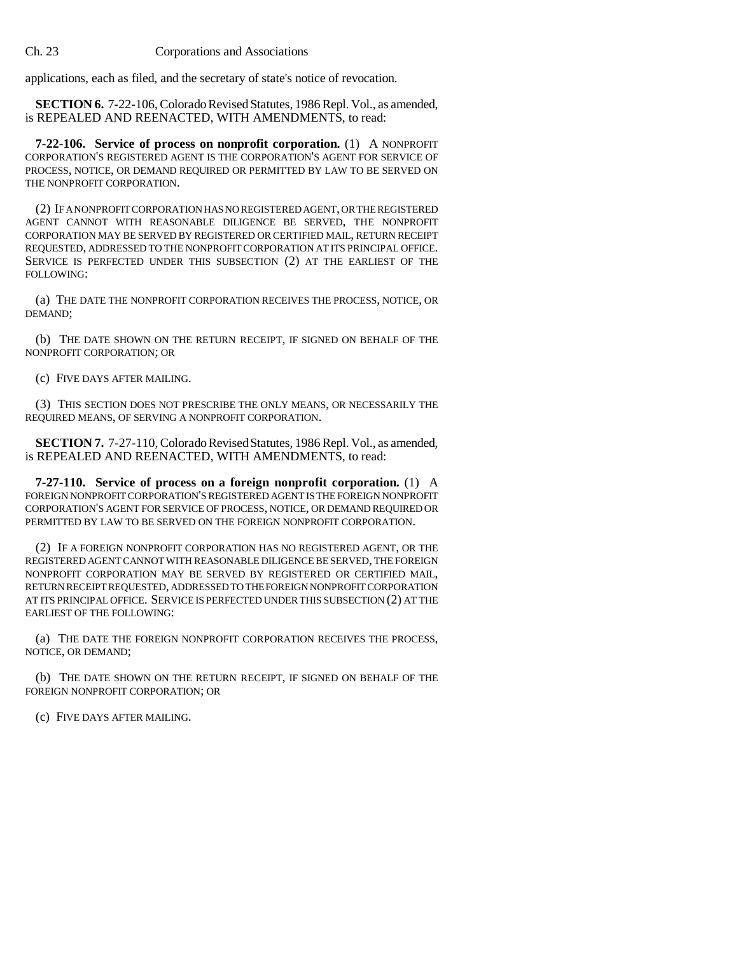applications, each as filed, and the secretary of state's notice of revocation.

**SECTION 6.** 7-22-106, Colorado Revised Statutes, 1986 Repl. Vol., as amended, is REPEALED AND REENACTED, WITH AMENDMENTS, to read:

**7-22-106. Service of process on nonprofit corporation.** (1) A NONPROFIT CORPORATION'S REGISTERED AGENT IS THE CORPORATION'S AGENT FOR SERVICE OF PROCESS, NOTICE, OR DEMAND REQUIRED OR PERMITTED BY LAW TO BE SERVED ON THE NONPROFIT CORPORATION.

(2) IF A NONPROFIT CORPORATION HAS NO REGISTERED AGENT, OR THE REGISTERED AGENT CANNOT WITH REASONABLE DILIGENCE BE SERVED, THE NONPROFIT CORPORATION MAY BE SERVED BY REGISTERED OR CERTIFIED MAIL, RETURN RECEIPT REQUESTED, ADDRESSED TO THE NONPROFIT CORPORATION AT ITS PRINCIPAL OFFICE. SERVICE IS PERFECTED UNDER THIS SUBSECTION (2) AT THE EARLIEST OF THE FOLLOWING:

(a) THE DATE THE NONPROFIT CORPORATION RECEIVES THE PROCESS, NOTICE, OR DEMAND;

(b) THE DATE SHOWN ON THE RETURN RECEIPT, IF SIGNED ON BEHALF OF THE NONPROFIT CORPORATION; OR

(c) FIVE DAYS AFTER MAILING.

(3) THIS SECTION DOES NOT PRESCRIBE THE ONLY MEANS, OR NECESSARILY THE REQUIRED MEANS, OF SERVING A NONPROFIT CORPORATION.

**SECTION 7.** 7-27-110, Colorado Revised Statutes, 1986 Repl. Vol., as amended, is REPEALED AND REENACTED, WITH AMENDMENTS, to read:

**7-27-110. Service of process on a foreign nonprofit corporation.** (1) A FOREIGN NONPROFIT CORPORATION'S REGISTERED AGENT IS THE FOREIGN NONPROFIT CORPORATION'S AGENT FOR SERVICE OF PROCESS, NOTICE, OR DEMAND REQUIRED OR PERMITTED BY LAW TO BE SERVED ON THE FOREIGN NONPROFIT CORPORATION.

(2) IF A FOREIGN NONPROFIT CORPORATION HAS NO REGISTERED AGENT, OR THE REGISTERED AGENT CANNOT WITH REASONABLE DILIGENCE BE SERVED, THE FOREIGN NONPROFIT CORPORATION MAY BE SERVED BY REGISTERED OR CERTIFIED MAIL, RETURN RECEIPT REQUESTED, ADDRESSED TO THE FOREIGN NONPROFIT CORPORATION AT ITS PRINCIPAL OFFICE. SERVICE IS PERFECTED UNDER THIS SUBSECTION (2) AT THE EARLIEST OF THE FOLLOWING:

(a) THE DATE THE FOREIGN NONPROFIT CORPORATION RECEIVES THE PROCESS, NOTICE, OR DEMAND;

(b) THE DATE SHOWN ON THE RETURN RECEIPT, IF SIGNED ON BEHALF OF THE FOREIGN NONPROFIT CORPORATION; OR

(c) FIVE DAYS AFTER MAILING.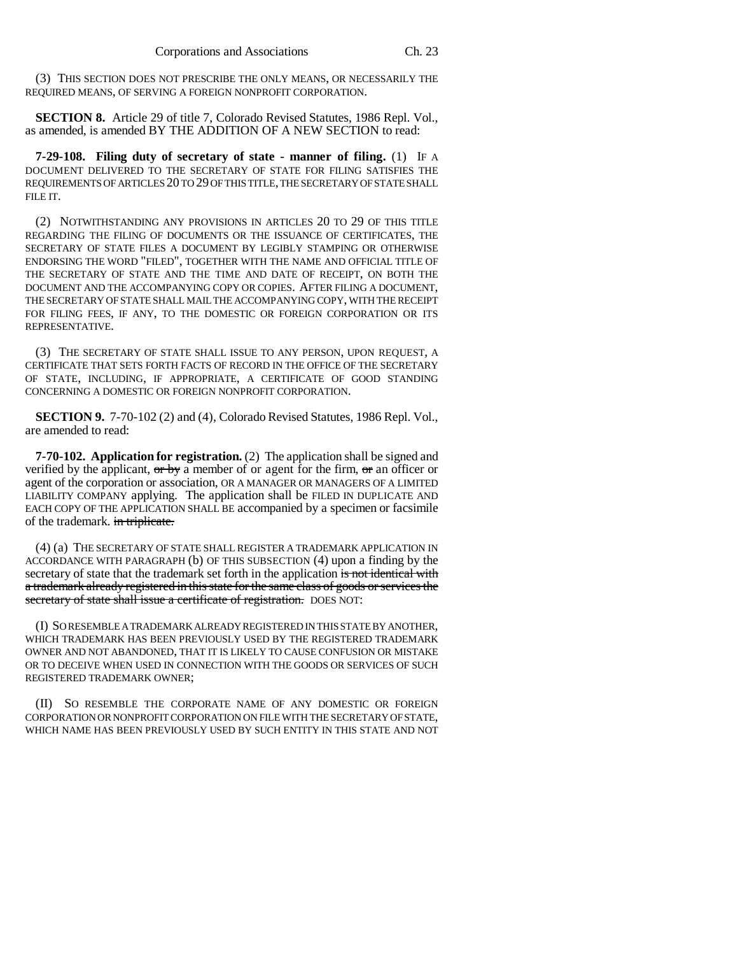(3) THIS SECTION DOES NOT PRESCRIBE THE ONLY MEANS, OR NECESSARILY THE REQUIRED MEANS, OF SERVING A FOREIGN NONPROFIT CORPORATION.

**SECTION 8.** Article 29 of title 7, Colorado Revised Statutes, 1986 Repl. Vol., as amended, is amended BY THE ADDITION OF A NEW SECTION to read:

**7-29-108. Filing duty of secretary of state - manner of filing.** (1) IF A DOCUMENT DELIVERED TO THE SECRETARY OF STATE FOR FILING SATISFIES THE REQUIREMENTS OF ARTICLES 20 TO 29 OF THIS TITLE, THE SECRETARY OF STATE SHALL FILE IT.

(2) NOTWITHSTANDING ANY PROVISIONS IN ARTICLES 20 TO 29 OF THIS TITLE REGARDING THE FILING OF DOCUMENTS OR THE ISSUANCE OF CERTIFICATES, THE SECRETARY OF STATE FILES A DOCUMENT BY LEGIBLY STAMPING OR OTHERWISE ENDORSING THE WORD "FILED", TOGETHER WITH THE NAME AND OFFICIAL TITLE OF THE SECRETARY OF STATE AND THE TIME AND DATE OF RECEIPT, ON BOTH THE DOCUMENT AND THE ACCOMPANYING COPY OR COPIES. AFTER FILING A DOCUMENT, THE SECRETARY OF STATE SHALL MAIL THE ACCOMPANYING COPY, WITH THE RECEIPT FOR FILING FEES, IF ANY, TO THE DOMESTIC OR FOREIGN CORPORATION OR ITS REPRESENTATIVE.

(3) THE SECRETARY OF STATE SHALL ISSUE TO ANY PERSON, UPON REQUEST, A CERTIFICATE THAT SETS FORTH FACTS OF RECORD IN THE OFFICE OF THE SECRETARY OF STATE, INCLUDING, IF APPROPRIATE, A CERTIFICATE OF GOOD STANDING CONCERNING A DOMESTIC OR FOREIGN NONPROFIT CORPORATION.

**SECTION 9.** 7-70-102 (2) and (4), Colorado Revised Statutes, 1986 Repl. Vol., are amended to read:

**7-70-102. Application for registration.** (2) The application shall be signed and verified by the applicant,  $\sigma r$  by a member of or agent for the firm,  $\sigma r$  an officer or agent of the corporation or association, OR A MANAGER OR MANAGERS OF A LIMITED LIABILITY COMPANY applying. The application shall be FILED IN DUPLICATE AND EACH COPY OF THE APPLICATION SHALL BE accompanied by a specimen or facsimile of the trademark. in triplicate.

(4) (a) THE SECRETARY OF STATE SHALL REGISTER A TRADEMARK APPLICATION IN ACCORDANCE WITH PARAGRAPH (b) OF THIS SUBSECTION (4) upon a finding by the secretary of state that the trademark set forth in the application is not identical with a trademark already registered in this state for the same class of goods or services the secretary of state shall issue a certificate of registration. DOES NOT:

(I) SO RESEMBLE A TRADEMARK ALREADY REGISTERED IN THIS STATE BY ANOTHER, WHICH TRADEMARK HAS BEEN PREVIOUSLY USED BY THE REGISTERED TRADEMARK OWNER AND NOT ABANDONED, THAT IT IS LIKELY TO CAUSE CONFUSION OR MISTAKE OR TO DECEIVE WHEN USED IN CONNECTION WITH THE GOODS OR SERVICES OF SUCH REGISTERED TRADEMARK OWNER;

(II) SO RESEMBLE THE CORPORATE NAME OF ANY DOMESTIC OR FOREIGN CORPORATION OR NONPROFIT CORPORATION ON FILE WITH THE SECRETARY OF STATE, WHICH NAME HAS BEEN PREVIOUSLY USED BY SUCH ENTITY IN THIS STATE AND NOT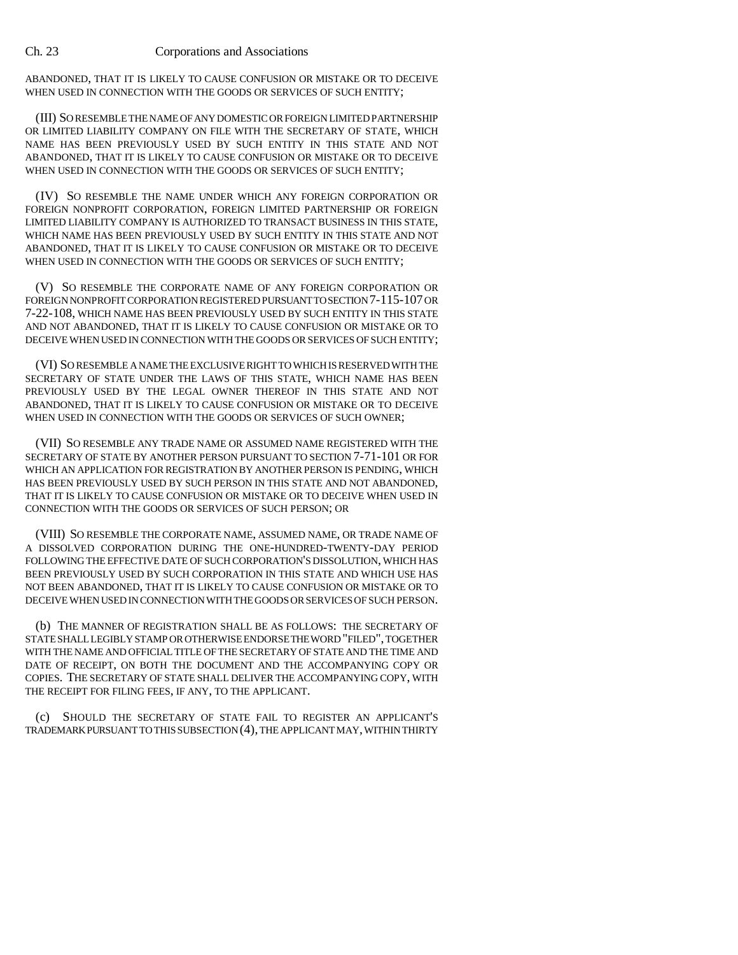ABANDONED, THAT IT IS LIKELY TO CAUSE CONFUSION OR MISTAKE OR TO DECEIVE WHEN USED IN CONNECTION WITH THE GOODS OR SERVICES OF SUCH ENTITY;

(III) SO RESEMBLE THE NAME OF ANY DOMESTIC OR FOREIGN LIMITED PARTNERSHIP OR LIMITED LIABILITY COMPANY ON FILE WITH THE SECRETARY OF STATE, WHICH NAME HAS BEEN PREVIOUSLY USED BY SUCH ENTITY IN THIS STATE AND NOT ABANDONED, THAT IT IS LIKELY TO CAUSE CONFUSION OR MISTAKE OR TO DECEIVE WHEN USED IN CONNECTION WITH THE GOODS OR SERVICES OF SUCH ENTITY:

(IV) SO RESEMBLE THE NAME UNDER WHICH ANY FOREIGN CORPORATION OR FOREIGN NONPROFIT CORPORATION, FOREIGN LIMITED PARTNERSHIP OR FOREIGN LIMITED LIABILITY COMPANY IS AUTHORIZED TO TRANSACT BUSINESS IN THIS STATE, WHICH NAME HAS BEEN PREVIOUSLY USED BY SUCH ENTITY IN THIS STATE AND NOT ABANDONED, THAT IT IS LIKELY TO CAUSE CONFUSION OR MISTAKE OR TO DECEIVE WHEN USED IN CONNECTION WITH THE GOODS OR SERVICES OF SUCH ENTITY:

(V) SO RESEMBLE THE CORPORATE NAME OF ANY FOREIGN CORPORATION OR FOREIGN NONPROFIT CORPORATION REGISTERED PURSUANT TO SECTION 7-115-107 OR 7-22-108, WHICH NAME HAS BEEN PREVIOUSLY USED BY SUCH ENTITY IN THIS STATE AND NOT ABANDONED, THAT IT IS LIKELY TO CAUSE CONFUSION OR MISTAKE OR TO DECEIVE WHEN USED IN CONNECTION WITH THE GOODS OR SERVICES OF SUCH ENTITY;

(VI) SO RESEMBLE A NAME THE EXCLUSIVE RIGHT TO WHICH IS RESERVED WITH THE SECRETARY OF STATE UNDER THE LAWS OF THIS STATE, WHICH NAME HAS BEEN PREVIOUSLY USED BY THE LEGAL OWNER THEREOF IN THIS STATE AND NOT ABANDONED, THAT IT IS LIKELY TO CAUSE CONFUSION OR MISTAKE OR TO DECEIVE WHEN USED IN CONNECTION WITH THE GOODS OR SERVICES OF SUCH OWNER;

(VII) SO RESEMBLE ANY TRADE NAME OR ASSUMED NAME REGISTERED WITH THE SECRETARY OF STATE BY ANOTHER PERSON PURSUANT TO SECTION 7-71-101 OR FOR WHICH AN APPLICATION FOR REGISTRATION BY ANOTHER PERSON IS PENDING, WHICH HAS BEEN PREVIOUSLY USED BY SUCH PERSON IN THIS STATE AND NOT ABANDONED, THAT IT IS LIKELY TO CAUSE CONFUSION OR MISTAKE OR TO DECEIVE WHEN USED IN CONNECTION WITH THE GOODS OR SERVICES OF SUCH PERSON; OR

(VIII) SO RESEMBLE THE CORPORATE NAME, ASSUMED NAME, OR TRADE NAME OF A DISSOLVED CORPORATION DURING THE ONE-HUNDRED-TWENTY-DAY PERIOD FOLLOWING THE EFFECTIVE DATE OF SUCH CORPORATION'S DISSOLUTION, WHICH HAS BEEN PREVIOUSLY USED BY SUCH CORPORATION IN THIS STATE AND WHICH USE HAS NOT BEEN ABANDONED, THAT IT IS LIKELY TO CAUSE CONFUSION OR MISTAKE OR TO DECEIVE WHEN USED IN CONNECTION WITH THE GOODS OR SERVICES OF SUCH PERSON.

(b) THE MANNER OF REGISTRATION SHALL BE AS FOLLOWS: THE SECRETARY OF STATE SHALL LEGIBLY STAMP OR OTHERWISE ENDORSE THE WORD "FILED", TOGETHER WITH THE NAME AND OFFICIAL TITLE OF THE SECRETARY OF STATE AND THE TIME AND DATE OF RECEIPT, ON BOTH THE DOCUMENT AND THE ACCOMPANYING COPY OR COPIES. THE SECRETARY OF STATE SHALL DELIVER THE ACCOMPANYING COPY, WITH THE RECEIPT FOR FILING FEES, IF ANY, TO THE APPLICANT.

(c) SHOULD THE SECRETARY OF STATE FAIL TO REGISTER AN APPLICANT'S TRADEMARK PURSUANT TO THIS SUBSECTION (4), THE APPLICANT MAY, WITHIN THIRTY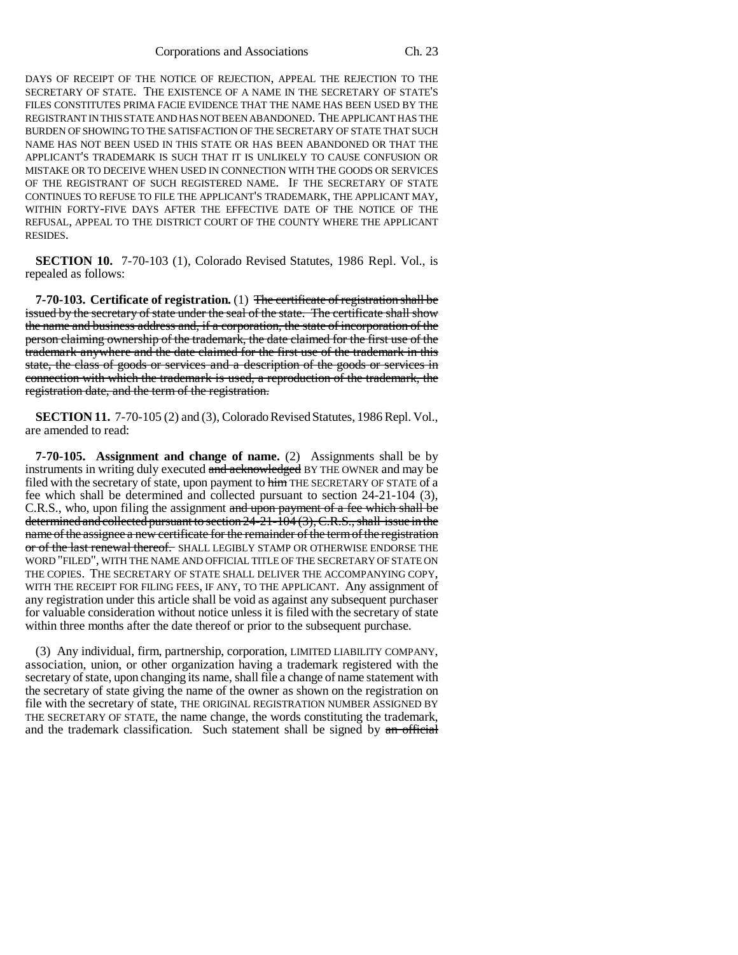DAYS OF RECEIPT OF THE NOTICE OF REJECTION, APPEAL THE REJECTION TO THE SECRETARY OF STATE. THE EXISTENCE OF A NAME IN THE SECRETARY OF STATE'S FILES CONSTITUTES PRIMA FACIE EVIDENCE THAT THE NAME HAS BEEN USED BY THE REGISTRANT IN THIS STATE AND HAS NOT BEEN ABANDONED. THE APPLICANT HAS THE BURDEN OF SHOWING TO THE SATISFACTION OF THE SECRETARY OF STATE THAT SUCH NAME HAS NOT BEEN USED IN THIS STATE OR HAS BEEN ABANDONED OR THAT THE APPLICANT'S TRADEMARK IS SUCH THAT IT IS UNLIKELY TO CAUSE CONFUSION OR MISTAKE OR TO DECEIVE WHEN USED IN CONNECTION WITH THE GOODS OR SERVICES OF THE REGISTRANT OF SUCH REGISTERED NAME. IF THE SECRETARY OF STATE CONTINUES TO REFUSE TO FILE THE APPLICANT'S TRADEMARK, THE APPLICANT MAY, WITHIN FORTY-FIVE DAYS AFTER THE EFFECTIVE DATE OF THE NOTICE OF THE REFUSAL, APPEAL TO THE DISTRICT COURT OF THE COUNTY WHERE THE APPLICANT RESIDES.

**SECTION 10.** 7-70-103 (1), Colorado Revised Statutes, 1986 Repl. Vol., is repealed as follows:

**7-70-103. Certificate of registration.** (1) The certificate of registration shall be issued by the secretary of state under the seal of the state. The certificate shall show the name and business address and, if a corporation, the state of incorporation of the person claiming ownership of the trademark, the date claimed for the first use of the trademark anywhere and the date claimed for the first use of the trademark in this state, the class of goods or services and a description of the goods or services in connection with which the trademark is used, a reproduction of the trademark, the registration date, and the term of the registration.

**SECTION 11.** 7-70-105 (2) and (3), Colorado Revised Statutes, 1986 Repl. Vol., are amended to read:

**7-70-105. Assignment and change of name.** (2) Assignments shall be by instruments in writing duly executed and acknowledged BY THE OWNER and may be filed with the secretary of state, upon payment to him THE SECRETARY OF STATE of a fee which shall be determined and collected pursuant to section 24-21-104 (3), C.R.S., who, upon filing the assignment and upon payment of a fee which shall be determined and collected pursuant to section 24-21-104 (3), C.R.S., shall issue in the name of the assignee a new certificate for the remainder of the term of the registration or of the last renewal thereof. SHALL LEGIBLY STAMP OR OTHERWISE ENDORSE THE WORD "FILED", WITH THE NAME AND OFFICIAL TITLE OF THE SECRETARY OF STATE ON THE COPIES. THE SECRETARY OF STATE SHALL DELIVER THE ACCOMPANYING COPY, WITH THE RECEIPT FOR FILING FEES, IF ANY, TO THE APPLICANT. Any assignment of any registration under this article shall be void as against any subsequent purchaser for valuable consideration without notice unless it is filed with the secretary of state within three months after the date thereof or prior to the subsequent purchase.

(3) Any individual, firm, partnership, corporation, LIMITED LIABILITY COMPANY, association, union, or other organization having a trademark registered with the secretary of state, upon changing its name, shall file a change of name statement with the secretary of state giving the name of the owner as shown on the registration on file with the secretary of state, THE ORIGINAL REGISTRATION NUMBER ASSIGNED BY THE SECRETARY OF STATE, the name change, the words constituting the trademark, and the trademark classification. Such statement shall be signed by an official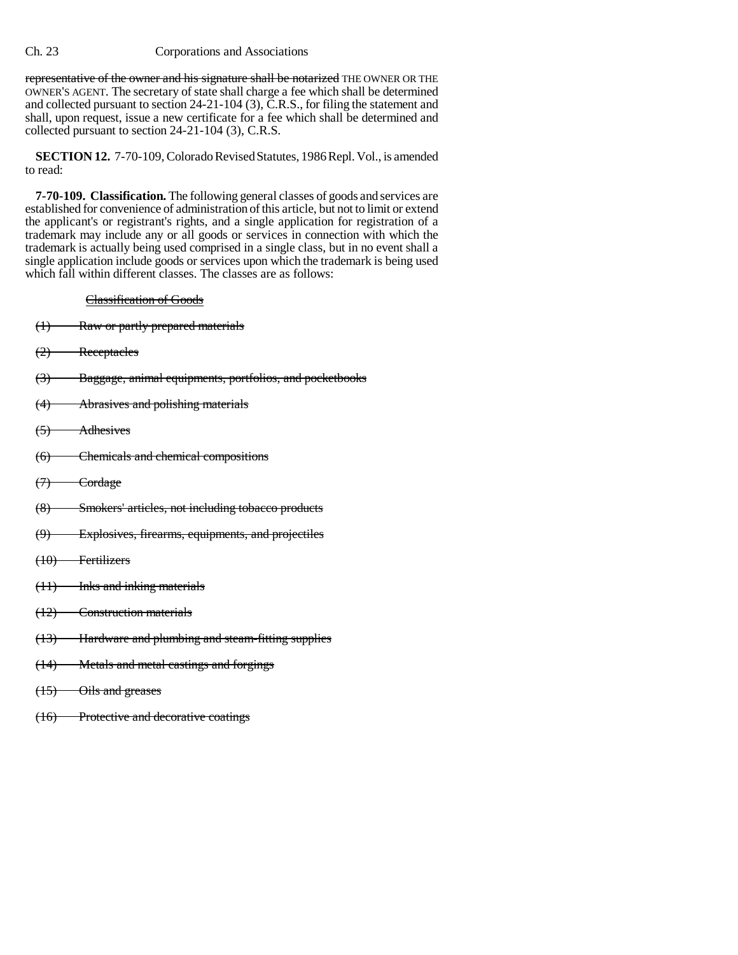representative of the owner and his signature shall be notarized THE OWNER OR THE OWNER'S AGENT. The secretary of state shall charge a fee which shall be determined and collected pursuant to section 24-21-104 (3), C.R.S., for filing the statement and shall, upon request, issue a new certificate for a fee which shall be determined and collected pursuant to section 24-21-104 (3), C.R.S.

**SECTION 12.** 7-70-109, Colorado Revised Statutes, 1986 Repl. Vol., is amended to read:

**7-70-109. Classification.** The following general classes of goods and services are established for convenience of administration of this article, but not to limit or extend the applicant's or registrant's rights, and a single application for registration of a trademark may include any or all goods or services in connection with which the trademark is actually being used comprised in a single class, but in no event shall a single application include goods or services upon which the trademark is being used which fall within different classes. The classes are as follows:

### Classification of Goods

- (1) Raw or partly prepared materials
- (2) Receptacles
- (3) Baggage, animal equipments, portfolios, and pocketbooks
- (4) Abrasives and polishing materials
- (5) Adhesives
- (6) Chemicals and chemical compositions
- $(7)$  Cordage
- (8) Smokers' articles, not including tobacco products
- (9) Explosives, firearms, equipments, and projectiles
- (10) Fertilizers
- (11) Inks and inking materials
- (12) Construction materials
- (13) Hardware and plumbing and steam-fitting supplies
- (14) Metals and metal castings and forgings
- (15) Oils and greases
- (16) Protective and decorative coatings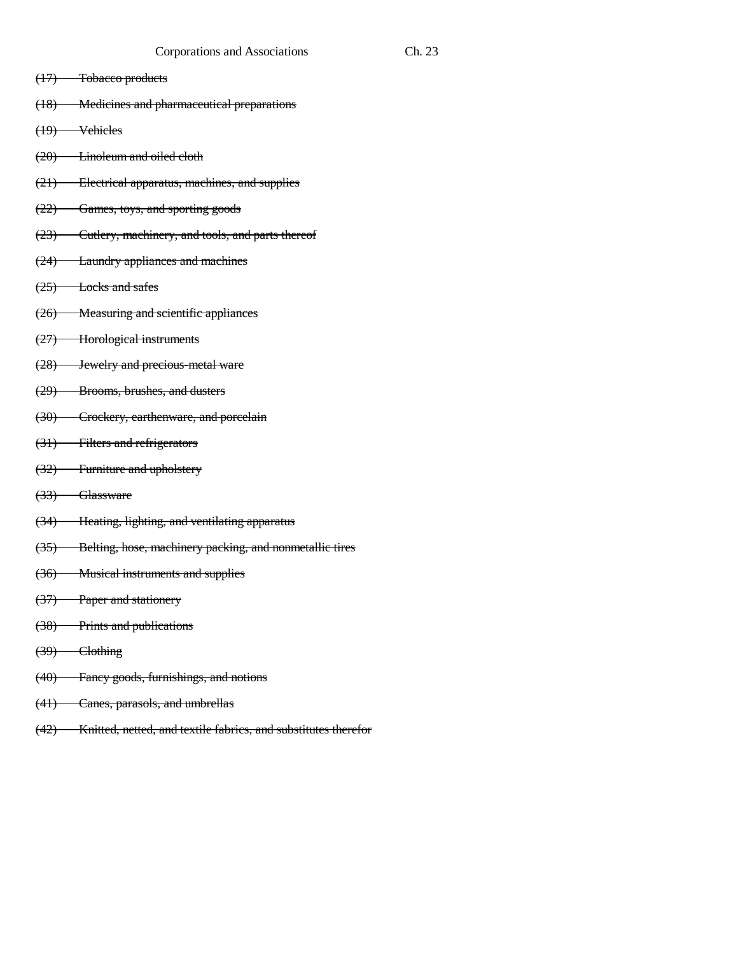- (17) Tobacco products
- (18) Medicines and pharmaceutical preparations
- (19) Vehicles
- (20) Linoleum and oiled cloth
- (21) Electrical apparatus, machines, and supplies
- (22) Games, toys, and sporting goods
- (23) Cutlery, machinery, and tools, and parts thereof
- (24) Laundry appliances and machines
- (25) Locks and safes
- (26) Measuring and scientific appliances
- (27) Horological instruments
- (28) Jewelry and precious-metal ware
- (29) Brooms, brushes, and dusters
- (30) Crockery, earthenware, and porcelain
- (31) Filters and refrigerators
- (32) Furniture and upholstery
- (33) Glassware
- (34) Heating, lighting, and ventilating apparatus
- (35) Belting, hose, machinery packing, and nonmetallic tires
- (36) Musical instruments and supplies
- (37) Paper and stationery
- (38) Prints and publications
- $(39)$  Clothing
- (40) Fancy goods, furnishings, and notions
- (41) Canes, parasols, and umbrellas
- (42) Knitted, netted, and textile fabrics, and substitutes therefor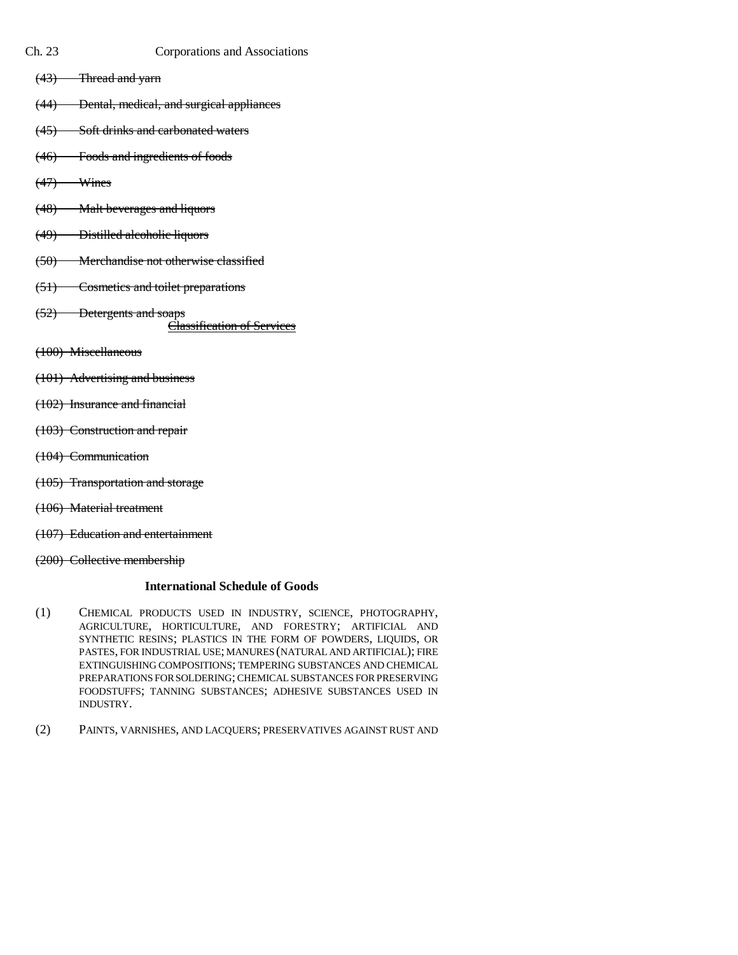- 
- Ch. 23 Corporations and Associations
	- (43) Thread and yarn
	- (44) Dental, medical, and surgical appliances
	- (45) Soft drinks and carbonated waters
	- (46) Foods and ingredients of foods
	- $(47)$  Wines
	- (48) Malt beverages and liquors
	- (49) Distilled alcoholic liquors
	- (50) Merchandise not otherwise classified
	- (51) Cosmetics and toilet preparations
	- (52) Detergents and soaps

Classification of Services

- (100) Miscellaneous
- (101) Advertising and business
- (102) Insurance and financial
- (103) Construction and repair
- (104) Communication
- (105) Transportation and storage
- (106) Material treatment
- (107) Education and entertainment
- (200) Collective membership

### **International Schedule of Goods**

- (1) CHEMICAL PRODUCTS USED IN INDUSTRY, SCIENCE, PHOTOGRAPHY, AGRICULTURE, HORTICULTURE, AND FORESTRY; ARTIFICIAL AND SYNTHETIC RESINS; PLASTICS IN THE FORM OF POWDERS, LIQUIDS, OR PASTES, FOR INDUSTRIAL USE; MANURES (NATURAL AND ARTIFICIAL); FIRE EXTINGUISHING COMPOSITIONS; TEMPERING SUBSTANCES AND CHEMICAL PREPARATIONS FOR SOLDERING; CHEMICAL SUBSTANCES FOR PRESERVING FOODSTUFFS; TANNING SUBSTANCES; ADHESIVE SUBSTANCES USED IN INDUSTRY.
- (2) PAINTS, VARNISHES, AND LACQUERS; PRESERVATIVES AGAINST RUST AND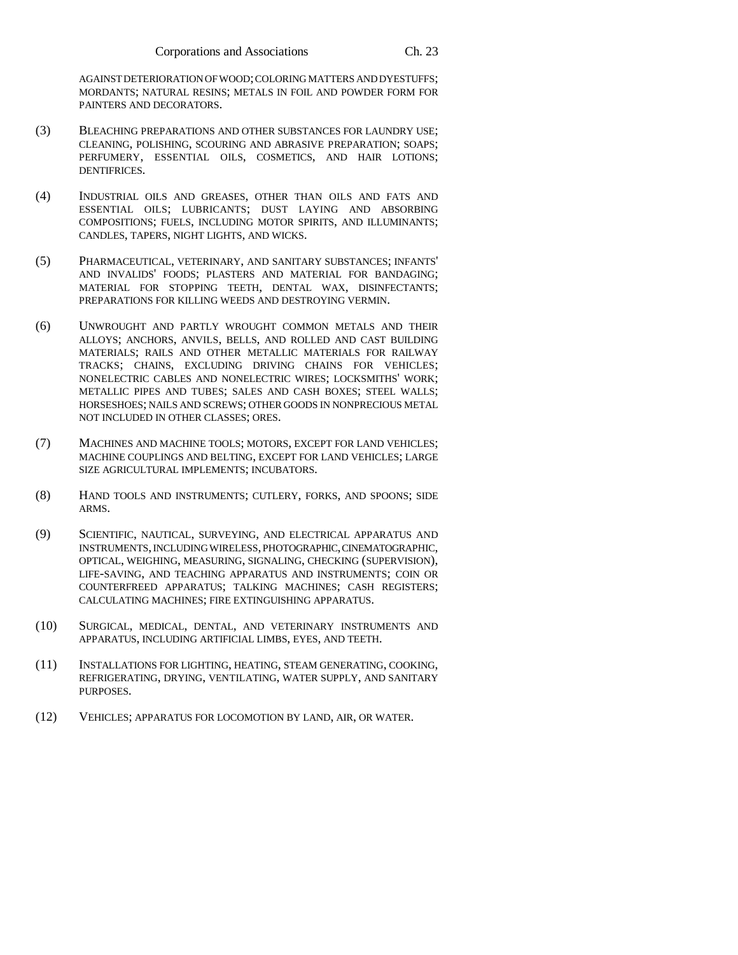AGAINST DETERIORATION OF WOOD; COLORING MATTERS AND DYESTUFFS; MORDANTS; NATURAL RESINS; METALS IN FOIL AND POWDER FORM FOR PAINTERS AND DECORATORS.

- (3) BLEACHING PREPARATIONS AND OTHER SUBSTANCES FOR LAUNDRY USE; CLEANING, POLISHING, SCOURING AND ABRASIVE PREPARATION; SOAPS; PERFUMERY, ESSENTIAL OILS, COSMETICS, AND HAIR LOTIONS; DENTIFRICES.
- (4) INDUSTRIAL OILS AND GREASES, OTHER THAN OILS AND FATS AND ESSENTIAL OILS; LUBRICANTS; DUST LAYING AND ABSORBING COMPOSITIONS; FUELS, INCLUDING MOTOR SPIRITS, AND ILLUMINANTS; CANDLES, TAPERS, NIGHT LIGHTS, AND WICKS.
- (5) PHARMACEUTICAL, VETERINARY, AND SANITARY SUBSTANCES; INFANTS' AND INVALIDS' FOODS; PLASTERS AND MATERIAL FOR BANDAGING; MATERIAL FOR STOPPING TEETH, DENTAL WAX, DISINFECTANTS; PREPARATIONS FOR KILLING WEEDS AND DESTROYING VERMIN.
- (6) UNWROUGHT AND PARTLY WROUGHT COMMON METALS AND THEIR ALLOYS; ANCHORS, ANVILS, BELLS, AND ROLLED AND CAST BUILDING MATERIALS; RAILS AND OTHER METALLIC MATERIALS FOR RAILWAY TRACKS; CHAINS, EXCLUDING DRIVING CHAINS FOR VEHICLES; NONELECTRIC CABLES AND NONELECTRIC WIRES; LOCKSMITHS' WORK; METALLIC PIPES AND TUBES; SALES AND CASH BOXES; STEEL WALLS; HORSESHOES; NAILS AND SCREWS; OTHER GOODS IN NONPRECIOUS METAL NOT INCLUDED IN OTHER CLASSES; ORES.
- (7) MACHINES AND MACHINE TOOLS; MOTORS, EXCEPT FOR LAND VEHICLES; MACHINE COUPLINGS AND BELTING, EXCEPT FOR LAND VEHICLES; LARGE SIZE AGRICULTURAL IMPLEMENTS; INCUBATORS.
- (8) HAND TOOLS AND INSTRUMENTS; CUTLERY, FORKS, AND SPOONS; SIDE ARMS.
- (9) SCIENTIFIC, NAUTICAL, SURVEYING, AND ELECTRICAL APPARATUS AND INSTRUMENTS, INCLUDING WIRELESS, PHOTOGRAPHIC, CINEMATOGRAPHIC, OPTICAL, WEIGHING, MEASURING, SIGNALING, CHECKING (SUPERVISION), LIFE-SAVING, AND TEACHING APPARATUS AND INSTRUMENTS; COIN OR COUNTERFREED APPARATUS; TALKING MACHINES; CASH REGISTERS; CALCULATING MACHINES; FIRE EXTINGUISHING APPARATUS.
- (10) SURGICAL, MEDICAL, DENTAL, AND VETERINARY INSTRUMENTS AND APPARATUS, INCLUDING ARTIFICIAL LIMBS, EYES, AND TEETH.
- (11) INSTALLATIONS FOR LIGHTING, HEATING, STEAM GENERATING, COOKING, REFRIGERATING, DRYING, VENTILATING, WATER SUPPLY, AND SANITARY PURPOSES.
- (12) VEHICLES; APPARATUS FOR LOCOMOTION BY LAND, AIR, OR WATER.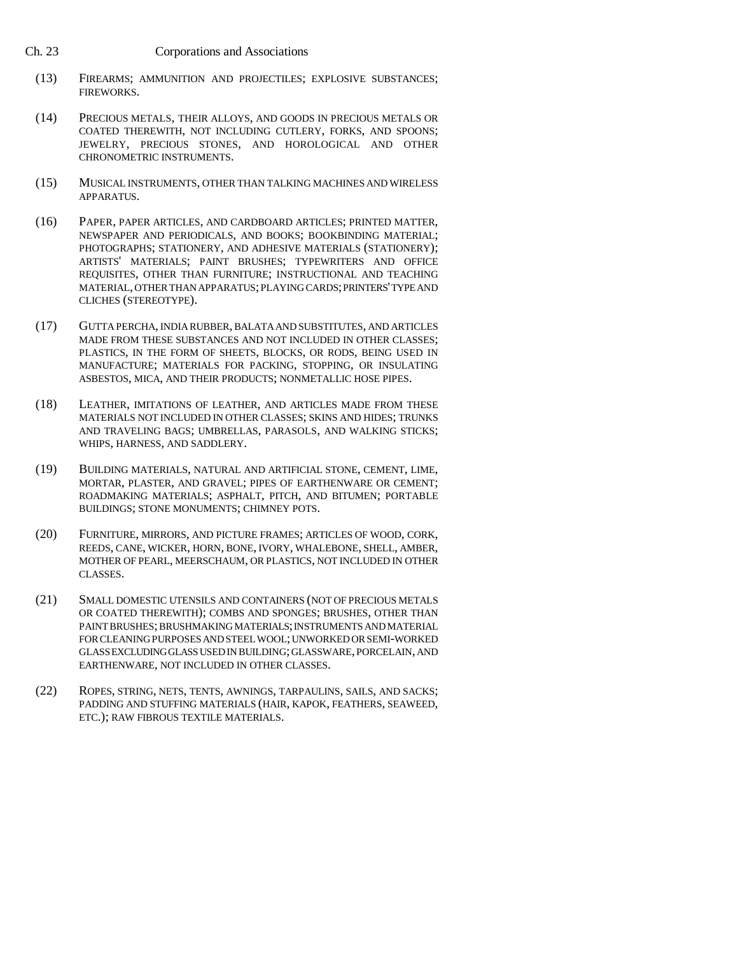- (13) FIREARMS; AMMUNITION AND PROJECTILES; EXPLOSIVE SUBSTANCES; FIREWORKS.
- (14) PRECIOUS METALS, THEIR ALLOYS, AND GOODS IN PRECIOUS METALS OR COATED THEREWITH, NOT INCLUDING CUTLERY, FORKS, AND SPOONS; JEWELRY, PRECIOUS STONES, AND HOROLOGICAL AND OTHER CHRONOMETRIC INSTRUMENTS.
- (15) MUSICAL INSTRUMENTS, OTHER THAN TALKING MACHINES AND WIRELESS APPARATUS.
- (16) PAPER, PAPER ARTICLES, AND CARDBOARD ARTICLES; PRINTED MATTER, NEWSPAPER AND PERIODICALS, AND BOOKS; BOOKBINDING MATERIAL; PHOTOGRAPHS; STATIONERY, AND ADHESIVE MATERIALS (STATIONERY); ARTISTS' MATERIALS; PAINT BRUSHES; TYPEWRITERS AND OFFICE REQUISITES, OTHER THAN FURNITURE; INSTRUCTIONAL AND TEACHING MATERIAL, OTHER THAN APPARATUS; PLAYING CARDS; PRINTERS' TYPE AND CLICHES (STEREOTYPE).
- (17) GUTTA PERCHA, INDIA RUBBER, BALATA AND SUBSTITUTES, AND ARTICLES MADE FROM THESE SUBSTANCES AND NOT INCLUDED IN OTHER CLASSES; PLASTICS, IN THE FORM OF SHEETS, BLOCKS, OR RODS, BEING USED IN MANUFACTURE; MATERIALS FOR PACKING, STOPPING, OR INSULATING ASBESTOS, MICA, AND THEIR PRODUCTS; NONMETALLIC HOSE PIPES.
- (18) LEATHER, IMITATIONS OF LEATHER, AND ARTICLES MADE FROM THESE MATERIALS NOT INCLUDED IN OTHER CLASSES; SKINS AND HIDES; TRUNKS AND TRAVELING BAGS; UMBRELLAS, PARASOLS, AND WALKING STICKS; WHIPS, HARNESS, AND SADDLERY.
- (19) BUILDING MATERIALS, NATURAL AND ARTIFICIAL STONE, CEMENT, LIME, MORTAR, PLASTER, AND GRAVEL; PIPES OF EARTHENWARE OR CEMENT; ROADMAKING MATERIALS; ASPHALT, PITCH, AND BITUMEN; PORTABLE BUILDINGS; STONE MONUMENTS; CHIMNEY POTS.
- (20) FURNITURE, MIRRORS, AND PICTURE FRAMES; ARTICLES OF WOOD, CORK, REEDS, CANE, WICKER, HORN, BONE, IVORY, WHALEBONE, SHELL, AMBER, MOTHER OF PEARL, MEERSCHAUM, OR PLASTICS, NOT INCLUDED IN OTHER CLASSES.
- (21) SMALL DOMESTIC UTENSILS AND CONTAINERS (NOT OF PRECIOUS METALS OR COATED THEREWITH); COMBS AND SPONGES; BRUSHES, OTHER THAN PAINT BRUSHES; BRUSHMAKING MATERIALS; INSTRUMENTS AND MATERIAL FOR CLEANING PURPOSES AND STEEL WOOL; UNWORKED OR SEMI-WORKED GLASS EXCLUDING GLASS USED IN BUILDING; GLASSWARE, PORCELAIN, AND EARTHENWARE, NOT INCLUDED IN OTHER CLASSES.
- (22) ROPES, STRING, NETS, TENTS, AWNINGS, TARPAULINS, SAILS, AND SACKS; PADDING AND STUFFING MATERIALS (HAIR, KAPOK, FEATHERS, SEAWEED, ETC.); RAW FIBROUS TEXTILE MATERIALS.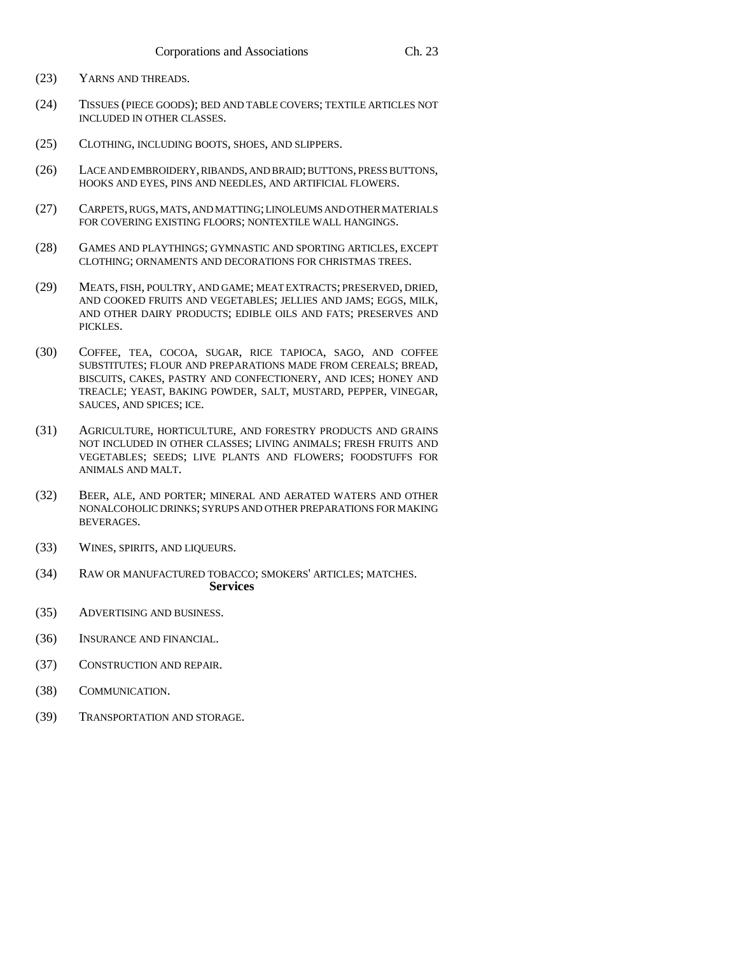- (23) YARNS AND THREADS.
- (24) TISSUES (PIECE GOODS); BED AND TABLE COVERS; TEXTILE ARTICLES NOT INCLUDED IN OTHER CLASSES.
- (25) CLOTHING, INCLUDING BOOTS, SHOES, AND SLIPPERS.
- (26) LACE AND EMBROIDERY, RIBANDS, AND BRAID; BUTTONS, PRESS BUTTONS, HOOKS AND EYES, PINS AND NEEDLES, AND ARTIFICIAL FLOWERS.
- (27) CARPETS, RUGS, MATS, AND MATTING; LINOLEUMS AND OTHER MATERIALS FOR COVERING EXISTING FLOORS; NONTEXTILE WALL HANGINGS.
- (28) GAMES AND PLAYTHINGS; GYMNASTIC AND SPORTING ARTICLES, EXCEPT CLOTHING; ORNAMENTS AND DECORATIONS FOR CHRISTMAS TREES.
- (29) MEATS, FISH, POULTRY, AND GAME; MEAT EXTRACTS; PRESERVED, DRIED, AND COOKED FRUITS AND VEGETABLES; JELLIES AND JAMS; EGGS, MILK, AND OTHER DAIRY PRODUCTS; EDIBLE OILS AND FATS; PRESERVES AND PICKLES.
- (30) COFFEE, TEA, COCOA, SUGAR, RICE TAPIOCA, SAGO, AND COFFEE SUBSTITUTES; FLOUR AND PREPARATIONS MADE FROM CEREALS; BREAD, BISCUITS, CAKES, PASTRY AND CONFECTIONERY, AND ICES; HONEY AND TREACLE; YEAST, BAKING POWDER, SALT, MUSTARD, PEPPER, VINEGAR, SAUCES, AND SPICES; ICE.
- (31) AGRICULTURE, HORTICULTURE, AND FORESTRY PRODUCTS AND GRAINS NOT INCLUDED IN OTHER CLASSES; LIVING ANIMALS; FRESH FRUITS AND VEGETABLES; SEEDS; LIVE PLANTS AND FLOWERS; FOODSTUFFS FOR ANIMALS AND MALT.
- (32) BEER, ALE, AND PORTER; MINERAL AND AERATED WATERS AND OTHER NONALCOHOLIC DRINKS; SYRUPS AND OTHER PREPARATIONS FOR MAKING BEVERAGES.
- (33) WINES, SPIRITS, AND LIQUEURS.
- (34) RAW OR MANUFACTURED TOBACCO; SMOKERS' ARTICLES; MATCHES. **Services**
- (35) ADVERTISING AND BUSINESS.
- (36) INSURANCE AND FINANCIAL.
- (37) CONSTRUCTION AND REPAIR.
- (38) COMMUNICATION.
- (39) TRANSPORTATION AND STORAGE.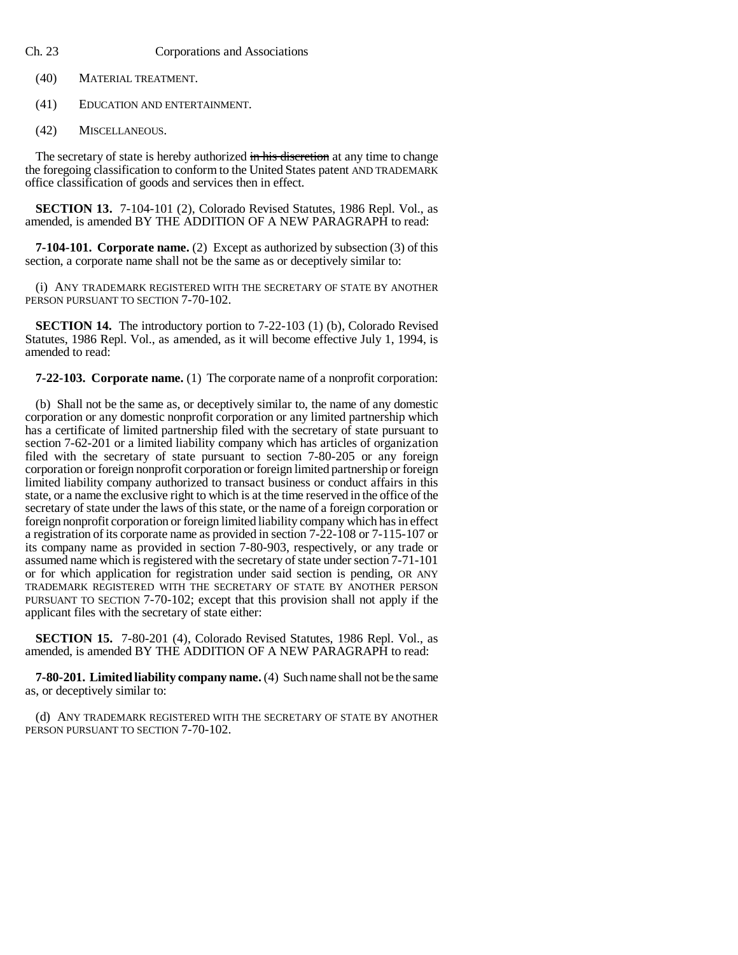- Ch. 23 Corporations and Associations
	- (40) MATERIAL TREATMENT.
	- (41) EDUCATION AND ENTERTAINMENT.
	- (42) MISCELLANEOUS.

The secretary of state is hereby authorized in his discretion at any time to change the foregoing classification to conform to the United States patent AND TRADEMARK office classification of goods and services then in effect.

**SECTION 13.** 7-104-101 (2), Colorado Revised Statutes, 1986 Repl. Vol., as amended, is amended BY THE ADDITION OF A NEW PARAGRAPH to read:

**7-104-101. Corporate name.** (2) Except as authorized by subsection (3) of this section, a corporate name shall not be the same as or deceptively similar to:

(i) ANY TRADEMARK REGISTERED WITH THE SECRETARY OF STATE BY ANOTHER PERSON PURSUANT TO SECTION 7-70-102.

**SECTION 14.** The introductory portion to 7-22-103 (1) (b), Colorado Revised Statutes, 1986 Repl. Vol., as amended, as it will become effective July 1, 1994, is amended to read:

**7-22-103. Corporate name.** (1) The corporate name of a nonprofit corporation:

(b) Shall not be the same as, or deceptively similar to, the name of any domestic corporation or any domestic nonprofit corporation or any limited partnership which has a certificate of limited partnership filed with the secretary of state pursuant to section 7-62-201 or a limited liability company which has articles of organization filed with the secretary of state pursuant to section 7-80-205 or any foreign corporation or foreign nonprofit corporation or foreign limited partnership or foreign limited liability company authorized to transact business or conduct affairs in this state, or a name the exclusive right to which is at the time reserved in the office of the secretary of state under the laws of this state, or the name of a foreign corporation or foreign nonprofit corporation or foreign limited liability company which has in effect a registration of its corporate name as provided in section 7-22-108 or 7-115-107 or its company name as provided in section 7-80-903, respectively, or any trade or assumed name which is registered with the secretary of state under section 7-71-101 or for which application for registration under said section is pending, OR ANY TRADEMARK REGISTERED WITH THE SECRETARY OF STATE BY ANOTHER PERSON PURSUANT TO SECTION 7-70-102; except that this provision shall not apply if the applicant files with the secretary of state either:

**SECTION 15.** 7-80-201 (4), Colorado Revised Statutes, 1986 Repl. Vol., as amended, is amended BY THE ADDITION OF A NEW PARAGRAPH to read:

**7-80-201. Limited liability company name.** (4) Such name shall not be the same as, or deceptively similar to:

(d) ANY TRADEMARK REGISTERED WITH THE SECRETARY OF STATE BY ANOTHER PERSON PURSUANT TO SECTION 7-70-102.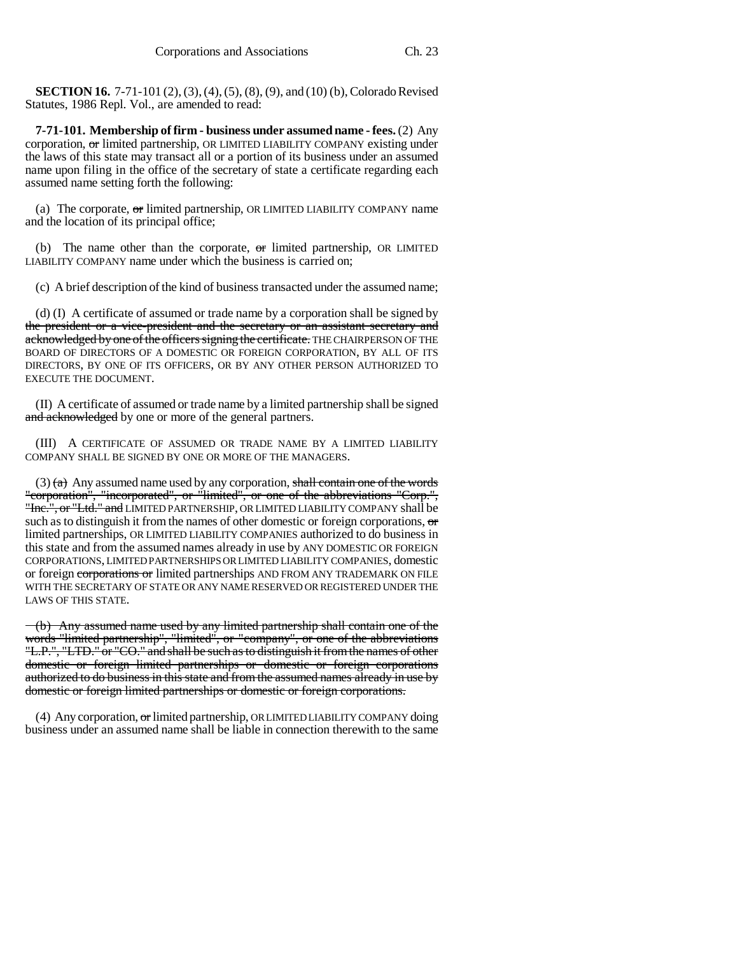**SECTION 16.** 7-71-101 (2), (3), (4), (5), (8), (9), and (10) (b), Colorado Revised Statutes, 1986 Repl. Vol., are amended to read:

**7-71-101. Membership of firm - business under assumed name - fees.** (2) Any corporation, or limited partnership, OR LIMITED LIABILITY COMPANY existing under the laws of this state may transact all or a portion of its business under an assumed name upon filing in the office of the secretary of state a certificate regarding each assumed name setting forth the following:

(a) The corporate,  $\sigma$  limited partnership, OR LIMITED LIABILITY COMPANY name and the location of its principal office;

(b) The name other than the corporate,  $\sigma$  limited partnership, OR LIMITED LIABILITY COMPANY name under which the business is carried on;

(c) A brief description of the kind of business transacted under the assumed name;

(d) (I) A certificate of assumed or trade name by a corporation shall be signed by the president or a vice-president and the secretary or an assistant secretary and acknowledged by one of the officers signing the certificate. THE CHAIRPERSON OF THE BOARD OF DIRECTORS OF A DOMESTIC OR FOREIGN CORPORATION, BY ALL OF ITS DIRECTORS, BY ONE OF ITS OFFICERS, OR BY ANY OTHER PERSON AUTHORIZED TO EXECUTE THE DOCUMENT.

(II) A certificate of assumed or trade name by a limited partnership shall be signed and acknowledged by one or more of the general partners.

(III) A CERTIFICATE OF ASSUMED OR TRADE NAME BY A LIMITED LIABILITY COMPANY SHALL BE SIGNED BY ONE OR MORE OF THE MANAGERS.

(3)  $(a)$  Any assumed name used by any corporation, shall contain one of the words "corporation", "incorporated", or "limited", or one of the abbreviations "Corp.", "Inc.", or "Ltd." and LIMITED PARTNERSHIP, OR LIMITED LIABILITY COMPANY shall be such as to distinguish it from the names of other domestic or foreign corporations,  $\sigma$ limited partnerships, OR LIMITED LIABILITY COMPANIES authorized to do business in this state and from the assumed names already in use by ANY DOMESTIC OR FOREIGN CORPORATIONS, LIMITED PARTNERSHIPS OR LIMITED LIABILITY COMPANIES, domestic or foreign corporations or limited partnerships AND FROM ANY TRADEMARK ON FILE WITH THE SECRETARY OF STATE OR ANY NAME RESERVED OR REGISTERED UNDER THE LAWS OF THIS STATE.

(b) Any assumed name used by any limited partnership shall contain one of the words "limited partnership", "limited", or "company", or one of the abbreviations "L.P.", "LTD." or "CO." and shall be such as to distinguish it from the names of other domestic or foreign limited partnerships or domestic or foreign corporations authorized to do business in this state and from the assumed names already in use by domestic or foreign limited partnerships or domestic or foreign corporations.

(4) Any corporation, or limited partnership, OR LIMITED LIABILITY COMPANY doing business under an assumed name shall be liable in connection therewith to the same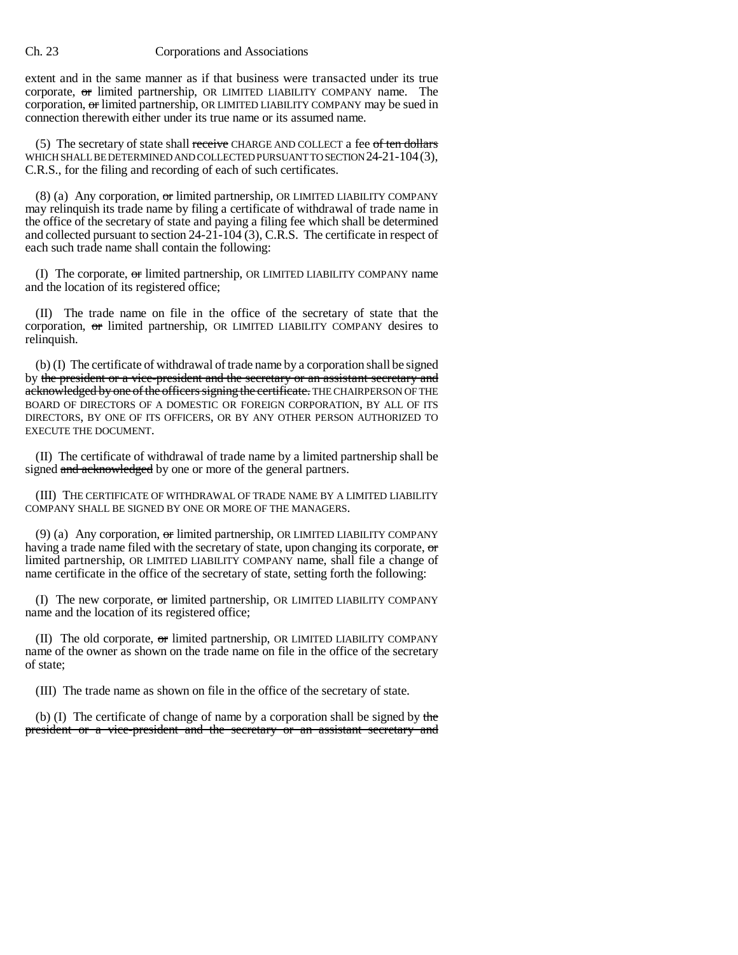extent and in the same manner as if that business were transacted under its true corporate, or limited partnership, OR LIMITED LIABILITY COMPANY name. The corporation, or limited partnership, OR LIMITED LIABILITY COMPANY may be sued in connection therewith either under its true name or its assumed name.

(5) The secretary of state shall receive CHARGE AND COLLECT a fee  $of$  ten dollars WHICH SHALL BE DETERMINED AND COLLECTED PURSUANT TO SECTION 24-21-104(3), C.R.S., for the filing and recording of each of such certificates.

(8) (a) Any corporation,  $\sigma$ r limited partnership, OR LIMITED LIABILITY COMPANY may relinquish its trade name by filing a certificate of withdrawal of trade name in the office of the secretary of state and paying a filing fee which shall be determined and collected pursuant to section 24-21-104 (3), C.R.S. The certificate in respect of each such trade name shall contain the following:

(I) The corporate, or limited partnership, OR LIMITED LIABILITY COMPANY name and the location of its registered office;

(II) The trade name on file in the office of the secretary of state that the corporation, or limited partnership, OR LIMITED LIABILITY COMPANY desires to relinquish.

(b) (I) The certificate of withdrawal of trade name by a corporation shall be signed by the president or a vice-president and the secretary or an assistant secretary and acknowledged by one of the officers signing the certificate. THE CHAIRPERSON OF THE BOARD OF DIRECTORS OF A DOMESTIC OR FOREIGN CORPORATION, BY ALL OF ITS DIRECTORS, BY ONE OF ITS OFFICERS, OR BY ANY OTHER PERSON AUTHORIZED TO EXECUTE THE DOCUMENT.

(II) The certificate of withdrawal of trade name by a limited partnership shall be signed and acknowledged by one or more of the general partners.

(III) THE CERTIFICATE OF WITHDRAWAL OF TRADE NAME BY A LIMITED LIABILITY COMPANY SHALL BE SIGNED BY ONE OR MORE OF THE MANAGERS.

(9) (a) Any corporation,  $\sigma$  limited partnership, OR LIMITED LIABILITY COMPANY having a trade name filed with the secretary of state, upon changing its corporate, or limited partnership, OR LIMITED LIABILITY COMPANY name, shall file a change of name certificate in the office of the secretary of state, setting forth the following:

(I) The new corporate,  $\sigma$ r limited partnership, OR LIMITED LIABILITY COMPANY name and the location of its registered office;

(II) The old corporate, or limited partnership, OR LIMITED LIABILITY COMPANY name of the owner as shown on the trade name on file in the office of the secretary of state;

(III) The trade name as shown on file in the office of the secretary of state.

(b) (I) The certificate of change of name by a corporation shall be signed by the president or a vice-president and the secretary or an assistant secretary and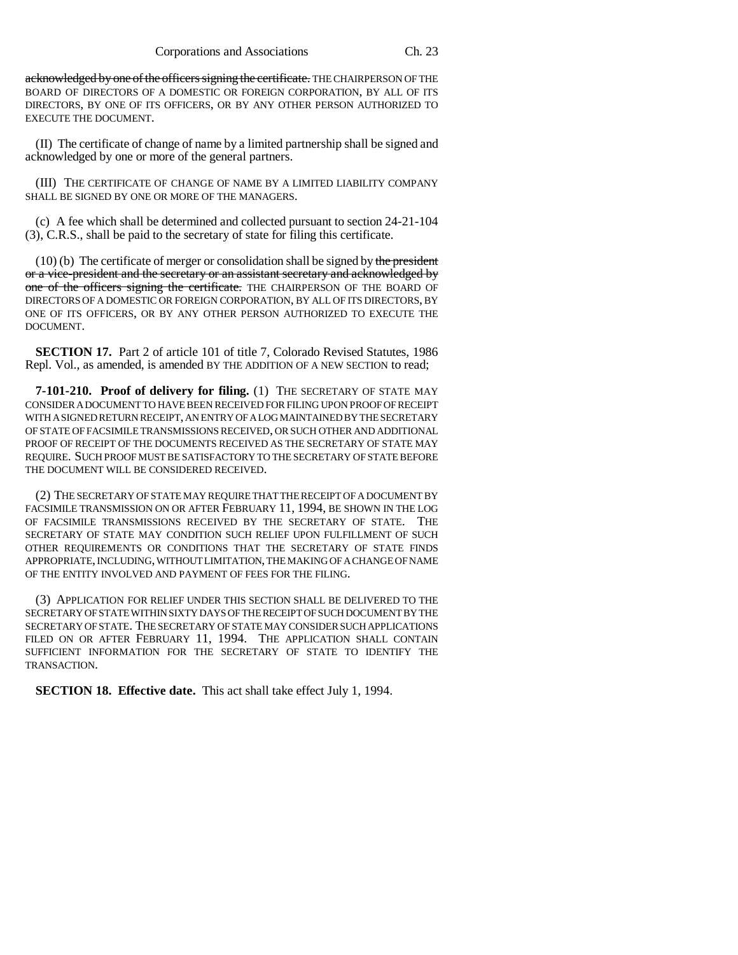acknowledged by one of the officers signing the certificate. THE CHAIRPERSON OF THE BOARD OF DIRECTORS OF A DOMESTIC OR FOREIGN CORPORATION, BY ALL OF ITS DIRECTORS, BY ONE OF ITS OFFICERS, OR BY ANY OTHER PERSON AUTHORIZED TO EXECUTE THE DOCUMENT.

(II) The certificate of change of name by a limited partnership shall be signed and acknowledged by one or more of the general partners.

(III) THE CERTIFICATE OF CHANGE OF NAME BY A LIMITED LIABILITY COMPANY SHALL BE SIGNED BY ONE OR MORE OF THE MANAGERS.

(c) A fee which shall be determined and collected pursuant to section 24-21-104 (3), C.R.S., shall be paid to the secretary of state for filing this certificate.

 $(10)$  (b) The certificate of merger or consolidation shall be signed by the president or a vice-president and the secretary or an assistant secretary and acknowledged by one of the officers signing the certificate. THE CHAIRPERSON OF THE BOARD OF DIRECTORS OF A DOMESTIC OR FOREIGN CORPORATION, BY ALL OF ITS DIRECTORS, BY ONE OF ITS OFFICERS, OR BY ANY OTHER PERSON AUTHORIZED TO EXECUTE THE DOCUMENT.

**SECTION 17.** Part 2 of article 101 of title 7, Colorado Revised Statutes, 1986 Repl. Vol., as amended, is amended BY THE ADDITION OF A NEW SECTION to read;

**7-101-210. Proof of delivery for filing.** (1) THE SECRETARY OF STATE MAY CONSIDER A DOCUMENT TO HAVE BEEN RECEIVED FOR FILING UPON PROOF OF RECEIPT WITH A SIGNED RETURN RECEIPT, AN ENTRY OF A LOG MAINTAINED BY THE SECRETARY OF STATE OF FACSIMILE TRANSMISSIONS RECEIVED, OR SUCH OTHER AND ADDITIONAL PROOF OF RECEIPT OF THE DOCUMENTS RECEIVED AS THE SECRETARY OF STATE MAY REQUIRE. SUCH PROOF MUST BE SATISFACTORY TO THE SECRETARY OF STATE BEFORE THE DOCUMENT WILL BE CONSIDERED RECEIVED.

(2) THE SECRETARY OF STATE MAY REQUIRE THAT THE RECEIPT OF A DOCUMENT BY FACSIMILE TRANSMISSION ON OR AFTER FEBRUARY 11, 1994, BE SHOWN IN THE LOG OF FACSIMILE TRANSMISSIONS RECEIVED BY THE SECRETARY OF STATE. THE SECRETARY OF STATE MAY CONDITION SUCH RELIEF UPON FULFILLMENT OF SUCH OTHER REQUIREMENTS OR CONDITIONS THAT THE SECRETARY OF STATE FINDS APPROPRIATE, INCLUDING, WITHOUT LIMITATION, THE MAKING OF A CHANGE OF NAME OF THE ENTITY INVOLVED AND PAYMENT OF FEES FOR THE FILING.

(3) APPLICATION FOR RELIEF UNDER THIS SECTION SHALL BE DELIVERED TO THE SECRETARY OF STATE WITHIN SIXTY DAYS OF THE RECEIPT OF SUCH DOCUMENT BY THE SECRETARY OF STATE. THE SECRETARY OF STATE MAY CONSIDER SUCH APPLICATIONS FILED ON OR AFTER FEBRUARY 11, 1994. THE APPLICATION SHALL CONTAIN SUFFICIENT INFORMATION FOR THE SECRETARY OF STATE TO IDENTIFY THE TRANSACTION.

**SECTION 18. Effective date.** This act shall take effect July 1, 1994.